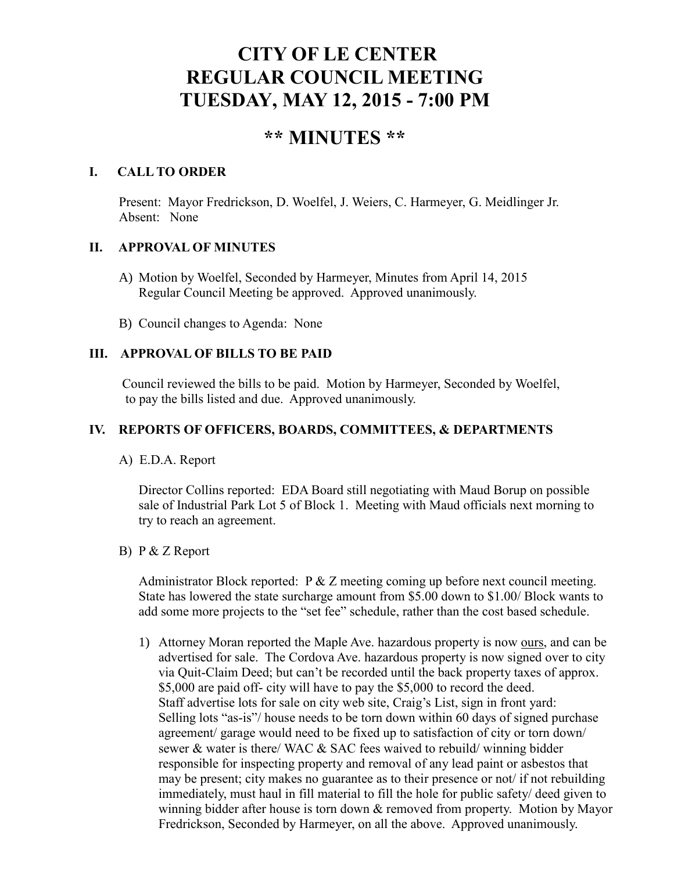# **CITY OF LE CENTER REGULAR COUNCIL MEETING TUESDAY, MAY 12, 2015 - 7:00 PM**

# **\*\* MINUTES \*\***

# **I. CALL TO ORDER**

Present: Mayor Fredrickson, D. Woelfel, J. Weiers, C. Harmeyer, G. Meidlinger Jr. Absent: None

# **II. APPROVAL OF MINUTES**

- A) Motion by Woelfel, Seconded by Harmeyer, Minutes from April 14, 2015 Regular Council Meeting be approved. Approved unanimously.
- B) Council changes to Agenda: None

# **III. APPROVAL OF BILLS TO BE PAID**

Council reviewed the bills to be paid. Motion by Harmeyer, Seconded by Woelfel, to pay the bills listed and due. Approved unanimously.

# **IV. REPORTS OF OFFICERS, BOARDS, COMMITTEES, & DEPARTMENTS**

A) E.D.A. Report

 Director Collins reported: EDA Board still negotiating with Maud Borup on possible sale of Industrial Park Lot 5 of Block 1. Meeting with Maud officials next morning to try to reach an agreement.

# B) P & Z Report

Administrator Block reported:  $P \& Z$  meeting coming up before next council meeting. State has lowered the state surcharge amount from \$5.00 down to \$1.00/ Block wants to add some more projects to the "set fee" schedule, rather than the cost based schedule.

1) Attorney Moran reported the Maple Ave. hazardous property is now ours, and can be advertised for sale. The Cordova Ave. hazardous property is now signed over to city via Quit-Claim Deed; but can't be recorded until the back property taxes of approx. \$5,000 are paid off- city will have to pay the \$5,000 to record the deed. Staff advertise lots for sale on city web site, Craig's List, sign in front yard: Selling lots "as-is"/ house needs to be torn down within 60 days of signed purchase agreement/ garage would need to be fixed up to satisfaction of city or torn down/ sewer & water is there/ WAC & SAC fees waived to rebuild/ winning bidder responsible for inspecting property and removal of any lead paint or asbestos that may be present; city makes no guarantee as to their presence or not/ if not rebuilding immediately, must haul in fill material to fill the hole for public safety/ deed given to winning bidder after house is torn down & removed from property. Motion by Mayor Fredrickson, Seconded by Harmeyer, on all the above. Approved unanimously.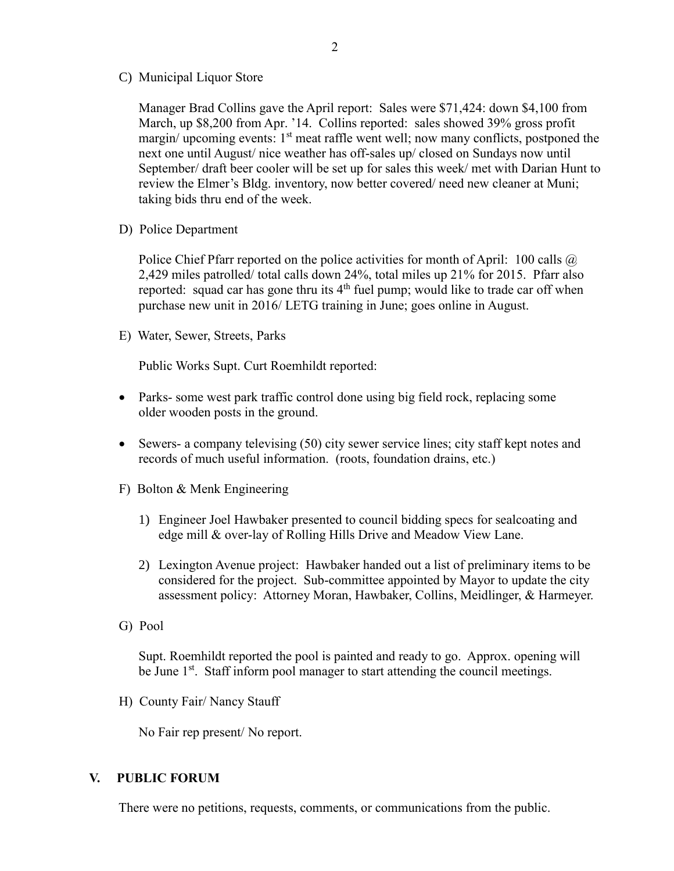C) Municipal Liquor Store

Manager Brad Collins gave the April report: Sales were \$71,424: down \$4,100 from March, up \$8,200 from Apr. '14. Collins reported: sales showed 39% gross profit margin/ upcoming events: 1<sup>st</sup> meat raffle went well; now many conflicts, postponed the next one until August/ nice weather has off-sales up/ closed on Sundays now until September/ draft beer cooler will be set up for sales this week/ met with Darian Hunt to review the Elmer's Bldg. inventory, now better covered/ need new cleaner at Muni; taking bids thru end of the week.

D) Police Department

Police Chief Pfarr reported on the police activities for month of April: 100 calls  $\omega$ 2,429 miles patrolled/ total calls down 24%, total miles up 21% for 2015. Pfarr also reported: squad car has gone thru its 4<sup>th</sup> fuel pump; would like to trade car off when purchase new unit in 2016/ LETG training in June; goes online in August.

E) Water, Sewer, Streets, Parks

Public Works Supt. Curt Roemhildt reported:

- Parks- some west park traffic control done using big field rock, replacing some older wooden posts in the ground.
- Sewers- a company televising (50) city sewer service lines; city staff kept notes and records of much useful information. (roots, foundation drains, etc.)
- F) Bolton & Menk Engineering
	- 1) Engineer Joel Hawbaker presented to council bidding specs for sealcoating and edge mill & over-lay of Rolling Hills Drive and Meadow View Lane.
	- 2) Lexington Avenue project: Hawbaker handed out a list of preliminary items to be considered for the project. Sub-committee appointed by Mayor to update the city assessment policy: Attorney Moran, Hawbaker, Collins, Meidlinger, & Harmeyer.
- G) Pool

 Supt. Roemhildt reported the pool is painted and ready to go. Approx. opening will be June 1<sup>st</sup>. Staff inform pool manager to start attending the council meetings.

H) County Fair/ Nancy Stauff

No Fair rep present/ No report.

#### **V. PUBLIC FORUM**

There were no petitions, requests, comments, or communications from the public.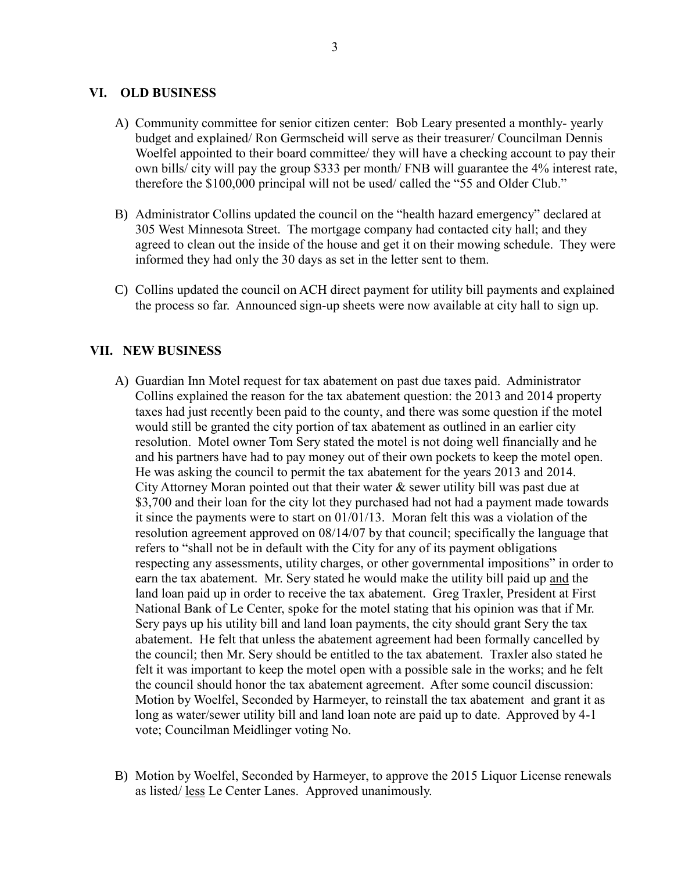#### **VI. OLD BUSINESS**

- A) Community committee for senior citizen center: Bob Leary presented a monthly- yearly budget and explained/ Ron Germscheid will serve as their treasurer/ Councilman Dennis Woelfel appointed to their board committee/ they will have a checking account to pay their own bills/ city will pay the group \$333 per month/ FNB will guarantee the 4% interest rate, therefore the \$100,000 principal will not be used/ called the "55 and Older Club."
- B) Administrator Collins updated the council on the "health hazard emergency" declared at 305 West Minnesota Street. The mortgage company had contacted city hall; and they agreed to clean out the inside of the house and get it on their mowing schedule. They were informed they had only the 30 days as set in the letter sent to them.
- C) Collins updated the council on ACH direct payment for utility bill payments and explained the process so far. Announced sign-up sheets were now available at city hall to sign up.

#### **VII. NEW BUSINESS**

- A) Guardian Inn Motel request for tax abatement on past due taxes paid. Administrator Collins explained the reason for the tax abatement question: the 2013 and 2014 property taxes had just recently been paid to the county, and there was some question if the motel would still be granted the city portion of tax abatement as outlined in an earlier city resolution. Motel owner Tom Sery stated the motel is not doing well financially and he and his partners have had to pay money out of their own pockets to keep the motel open. He was asking the council to permit the tax abatement for the years 2013 and 2014. City Attorney Moran pointed out that their water & sewer utility bill was past due at \$3,700 and their loan for the city lot they purchased had not had a payment made towards it since the payments were to start on 01/01/13. Moran felt this was a violation of the resolution agreement approved on 08/14/07 by that council; specifically the language that refers to "shall not be in default with the City for any of its payment obligations respecting any assessments, utility charges, or other governmental impositions" in order to earn the tax abatement. Mr. Sery stated he would make the utility bill paid up and the land loan paid up in order to receive the tax abatement. Greg Traxler, President at First National Bank of Le Center, spoke for the motel stating that his opinion was that if Mr. Sery pays up his utility bill and land loan payments, the city should grant Sery the tax abatement. He felt that unless the abatement agreement had been formally cancelled by the council; then Mr. Sery should be entitled to the tax abatement. Traxler also stated he felt it was important to keep the motel open with a possible sale in the works; and he felt the council should honor the tax abatement agreement. After some council discussion: Motion by Woelfel, Seconded by Harmeyer, to reinstall the tax abatement and grant it as long as water/sewer utility bill and land loan note are paid up to date. Approved by 4-1 vote; Councilman Meidlinger voting No.
- B) Motion by Woelfel, Seconded by Harmeyer, to approve the 2015 Liquor License renewals as listed/ less Le Center Lanes. Approved unanimously.